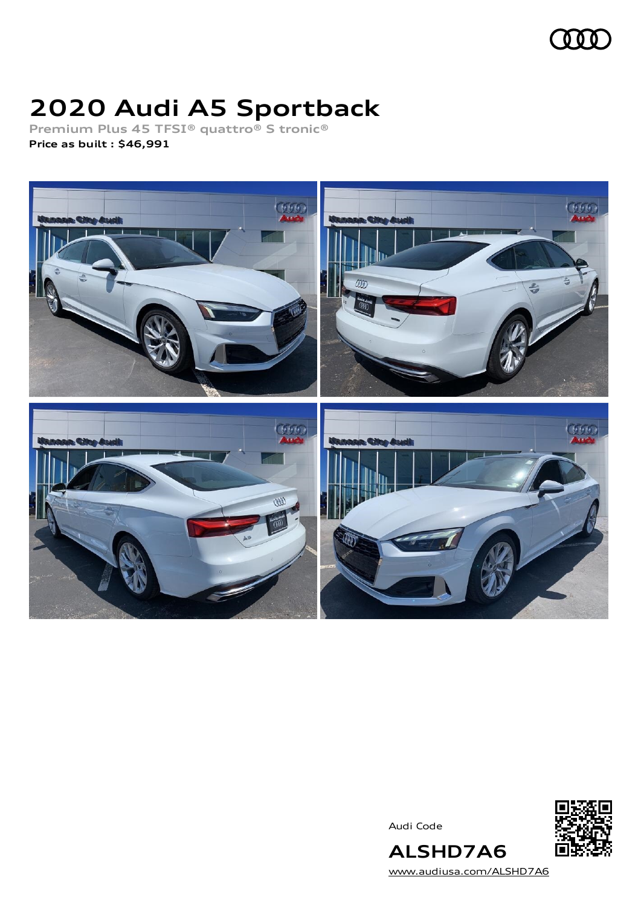

# **2020 Audi A5 Sportback**

**Premium Plus 45 TFSI® quattro® S tronic® Price as built [:](#page-8-0) \$46,991**



Audi Code



[www.audiusa.com/ALSHD7A6](https://www.audiusa.com/ALSHD7A6)

**ALSHD7A6**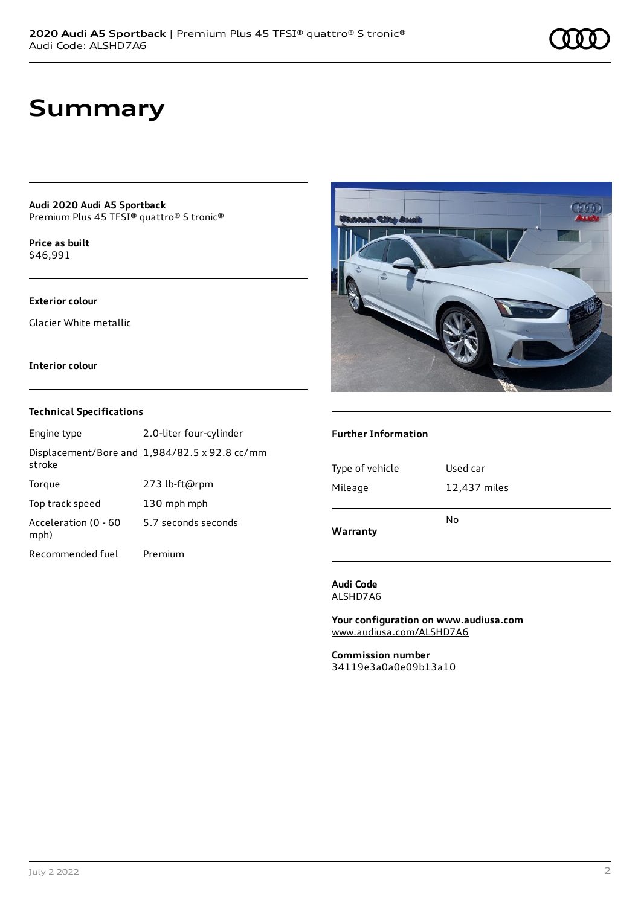# **Summary**

**Audi 2020 Audi A5 Sportback** Premium Plus 45 TFSI® quattro® S tronic®

**Price as buil[t](#page-8-0)** \$46,991

## **Exterior colour**

Glacier White metallic

## **Interior colour**

## **Technical Specifications**

| Engine type                  | 2.0-liter four-cylinder                       |
|------------------------------|-----------------------------------------------|
| stroke                       | Displacement/Bore and 1,984/82.5 x 92.8 cc/mm |
| Torque                       | 273 lb-ft@rpm                                 |
| Top track speed              | 130 mph mph                                   |
| Acceleration (0 - 60<br>mph) | 5.7 seconds seconds                           |
| Recommended fuel             | Premium                                       |



## **Further Information**

| No           |
|--------------|
| 12,437 miles |
| Used car     |
|              |

**Audi Code** ALSHD7A6

**Your configuration on www.audiusa.com** [www.audiusa.com/ALSHD7A6](https://www.audiusa.com/ALSHD7A6)

**Commission number** 34119e3a0a0e09b13a10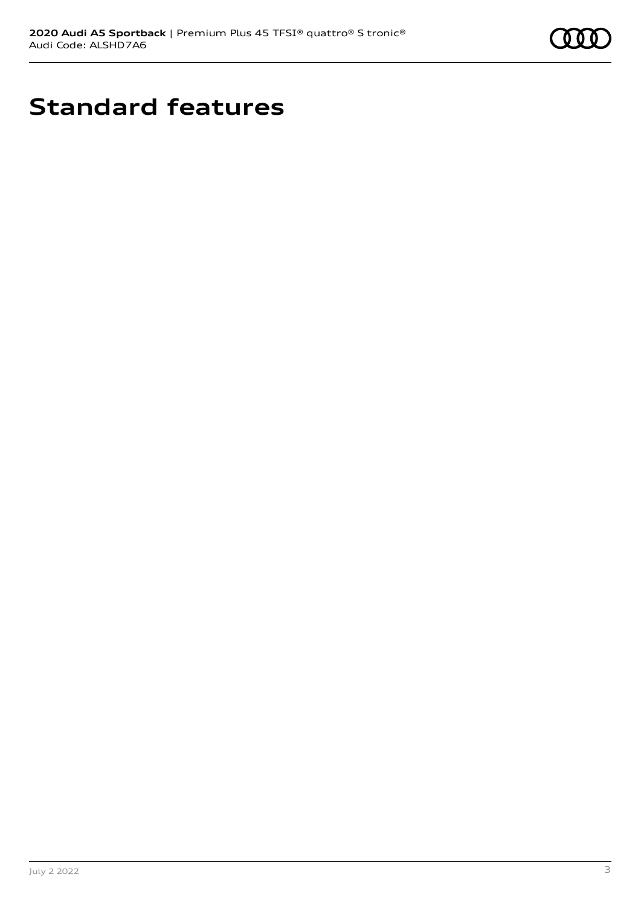

# **Standard features**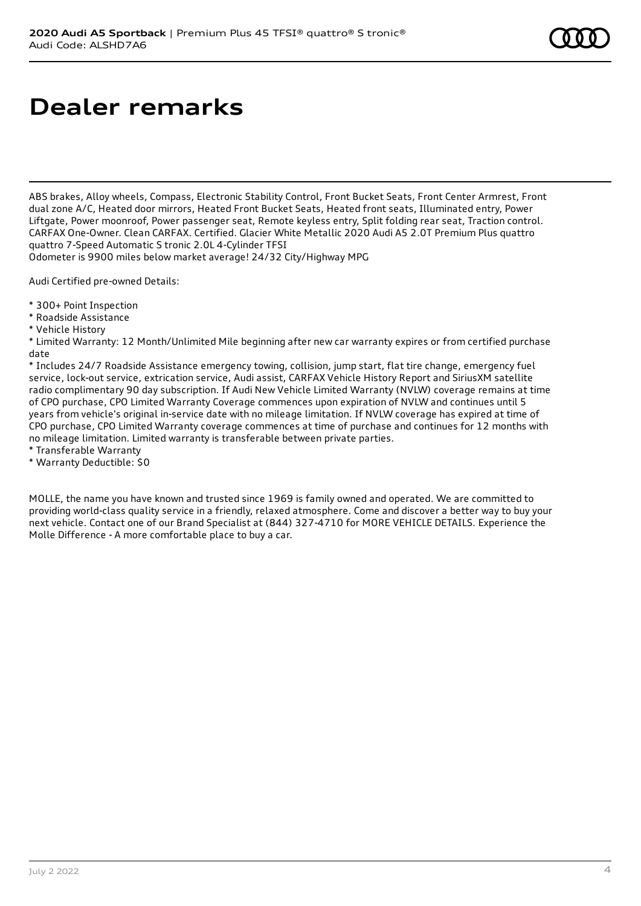# **Dealer remarks**

ABS brakes, Alloy wheels, Compass, Electronic Stability Control, Front Bucket Seats, Front Center Armrest, Front dual zone A/C, Heated door mirrors, Heated Front Bucket Seats, Heated front seats, Illuminated entry, Power Liftgate, Power moonroof, Power passenger seat, Remote keyless entry, Split folding rear seat, Traction control. CARFAX One-Owner. Clean CARFAX. Certified. Glacier White Metallic 2020 Audi A5 2.0T Premium Plus quattro quattro 7-Speed Automatic S tronic 2.0L 4-Cylinder TFSI

Odometer is 9900 miles below market average! 24/32 City/Highway MPG

Audi Certified pre-owned Details:

- \* 300+ Point Inspection
- \* Roadside Assistance
- \* Vehicle History

\* Limited Warranty: 12 Month/Unlimited Mile beginning after new car warranty expires or from certified purchase date

\* Includes 24/7 Roadside Assistance emergency towing, collision, jump start, flat tire change, emergency fuel service, lock-out service, extrication service, Audi assist, CARFAX Vehicle History Report and SiriusXM satellite radio complimentary 90 day subscription. If Audi New Vehicle Limited Warranty (NVLW) coverage remains at time of CPO purchase, CPO Limited Warranty Coverage commences upon expiration of NVLW and continues until 5 years from vehicle's original in-service date with no mileage limitation. If NVLW coverage has expired at time of CPO purchase, CPO Limited Warranty coverage commences at time of purchase and continues for 12 months with no mileage limitation. Limited warranty is transferable between private parties.

- \* Transferable Warranty
- \* Warranty Deductible: \$0

MOLLE, the name you have known and trusted since 1969 is family owned and operated. We are committed to providing world-class quality service in a friendly, relaxed atmosphere. Come and discover a better way to buy your next vehicle. Contact one of our Brand Specialist at (844) 327-4710 for MORE VEHICLE DETAILS. Experience the Molle Difference - A more comfortable place to buy a car.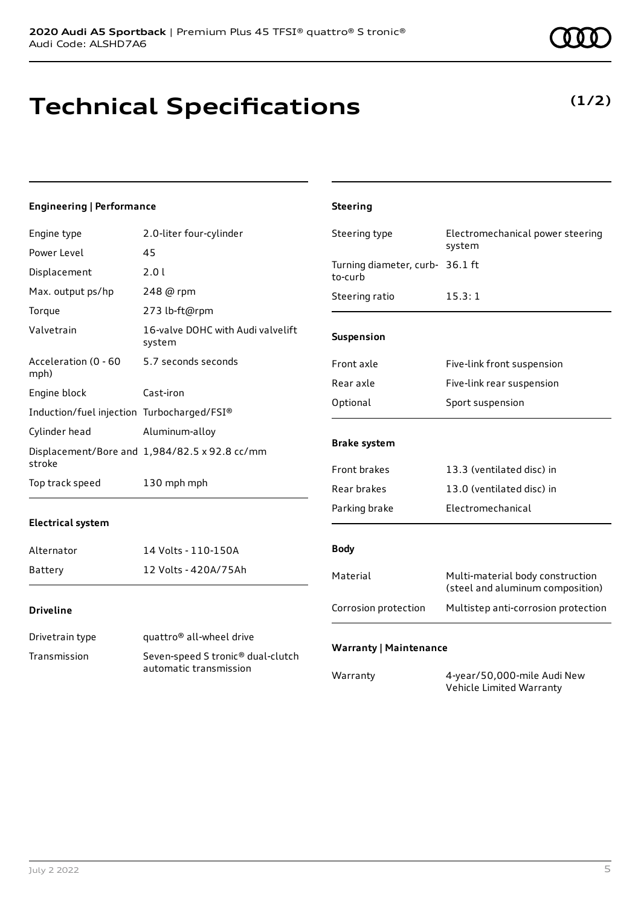# **Technical Specifications**

## **Engineering | Performance**

| Engine type                                | 2.0-liter four-cylinder                                                 | Steering type                              | Electromechanical power steering                                     |
|--------------------------------------------|-------------------------------------------------------------------------|--------------------------------------------|----------------------------------------------------------------------|
| Power Level                                | 45                                                                      |                                            | system                                                               |
| Displacement                               | 2.0 l                                                                   | Turning diameter, curb- 36.1 ft<br>to-curb |                                                                      |
| Max. output ps/hp                          | 248 @ rpm                                                               | Steering ratio                             | 15.3:1                                                               |
| Torque                                     | 273 lb-ft@rpm                                                           |                                            |                                                                      |
| Valvetrain                                 | 16-valve DOHC with Audi valvelift<br>system                             | Suspension                                 |                                                                      |
| Acceleration (0 - 60<br>mph)               | 5.7 seconds seconds                                                     | Front axle                                 | Five-link front suspension                                           |
|                                            | Cast-iron                                                               | Rear axle                                  | Five-link rear suspension                                            |
| Engine block                               |                                                                         | Optional                                   | Sport suspension                                                     |
| Induction/fuel injection Turbocharged/FSI® |                                                                         |                                            |                                                                      |
| Cylinder head                              | Aluminum-alloy                                                          | <b>Brake system</b>                        |                                                                      |
| stroke                                     | Displacement/Bore and 1,984/82.5 x 92.8 cc/mm                           |                                            |                                                                      |
|                                            |                                                                         | Front brakes                               | 13.3 (ventilated disc) in                                            |
| Top track speed                            | 130 mph mph                                                             | Rear brakes                                | 13.0 (ventilated disc) in                                            |
|                                            |                                                                         | Parking brake                              | Electromechanical                                                    |
| <b>Electrical system</b>                   |                                                                         |                                            |                                                                      |
| Alternator                                 | 14 Volts - 110-150A                                                     | <b>Body</b>                                |                                                                      |
| <b>Battery</b>                             | 12 Volts - 420A/75Ah                                                    | Material                                   | Multi-material body construction<br>(steel and aluminum composition) |
| <b>Driveline</b>                           |                                                                         | Corrosion protection                       | Multistep anti-corrosion protection                                  |
| Drivetrain type                            | quattro <sup>®</sup> all-wheel drive                                    |                                            |                                                                      |
| Transmission                               | Seven-speed S tronic <sup>®</sup> dual-clutch<br>automatic transmission | <b>Warranty   Maintenance</b>              | $1 - 0$ $0 - 0$ $1 - 1$                                              |

Warranty 4-year/50,000-mile Audi New

Vehicle Limited Warranty

**Steering**

## **(1/2)**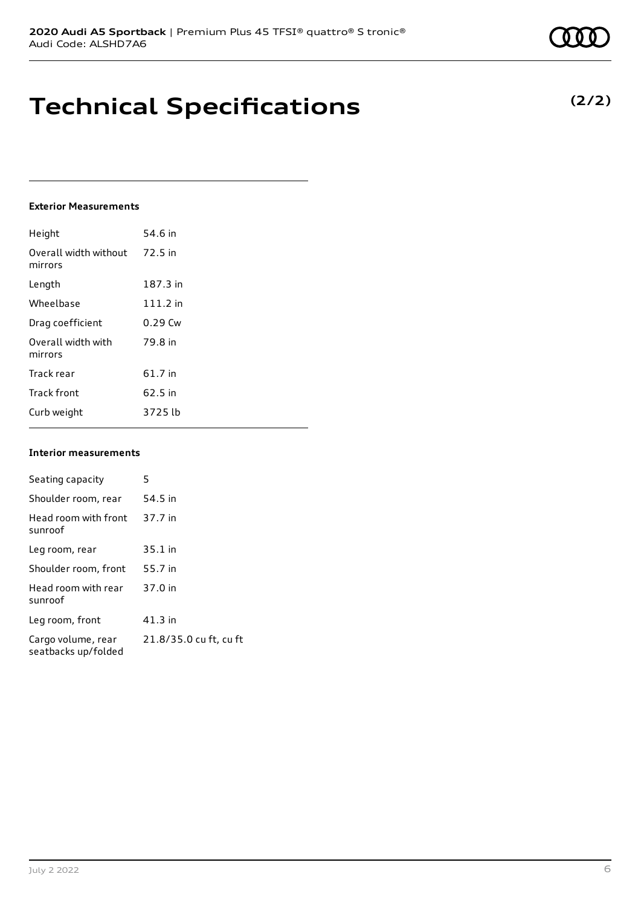# **Technical Specifications**

## **Exterior Measurements**

| Height                           | 54.6 in    |
|----------------------------------|------------|
| Overall width without<br>mirrors | 72.5 in    |
| Length                           | 187.3 in   |
| Wheelbase                        | $111.2$ in |
| Drag coefficient                 | $0.29$ Cw  |
| Overall width with<br>mirrors    | 79.8 in    |
| Track rear                       | 61.7 in    |
| <b>Track front</b>               | 62.5 in    |
| Curb weight                      | 3725 lb    |

#### **Interior measurements**

| Seating capacity                          | 5                      |
|-------------------------------------------|------------------------|
| Shoulder room, rear                       | 54.5 in                |
| Head room with front<br>sunroof           | 37.7 in                |
| Leg room, rear                            | $35.1$ in              |
| Shoulder room, front                      | 55.7 in                |
| Head room with rear<br>sunroof            | 37.0 in                |
| Leg room, front                           | $41.3$ in              |
| Cargo volume, rear<br>seatbacks up/folded | 21.8/35.0 cu ft, cu ft |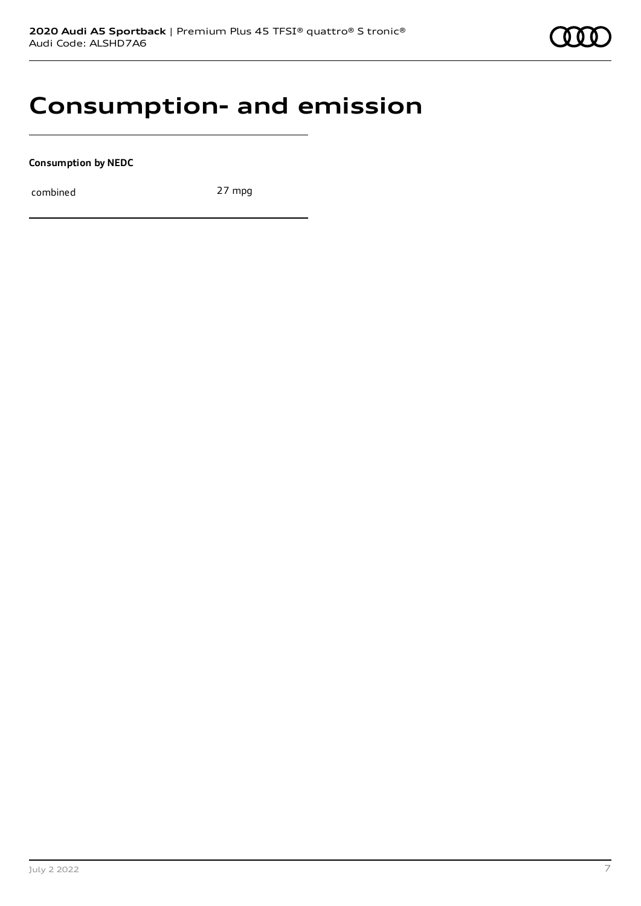# **Consumption- and emission**

**Consumption by NEDC**

combined 27 mpg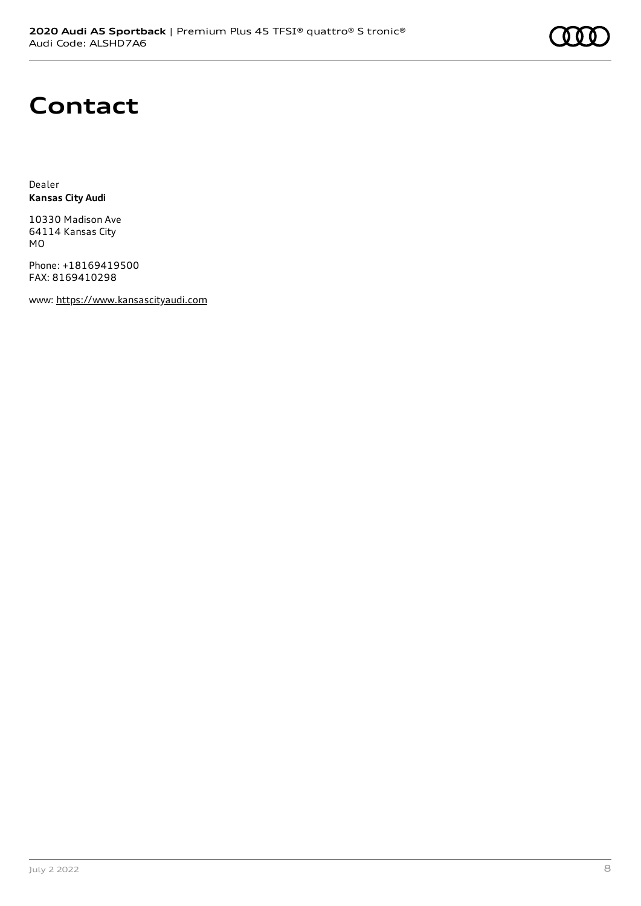# **Contact**

Dealer **Kansas City Audi**

10330 Madison Ave 64114 Kansas City MO

Phone: +18169419500 FAX: 8169410298

www: [https://www.kansascityaudi.com](https://www.kansascityaudi.com/)